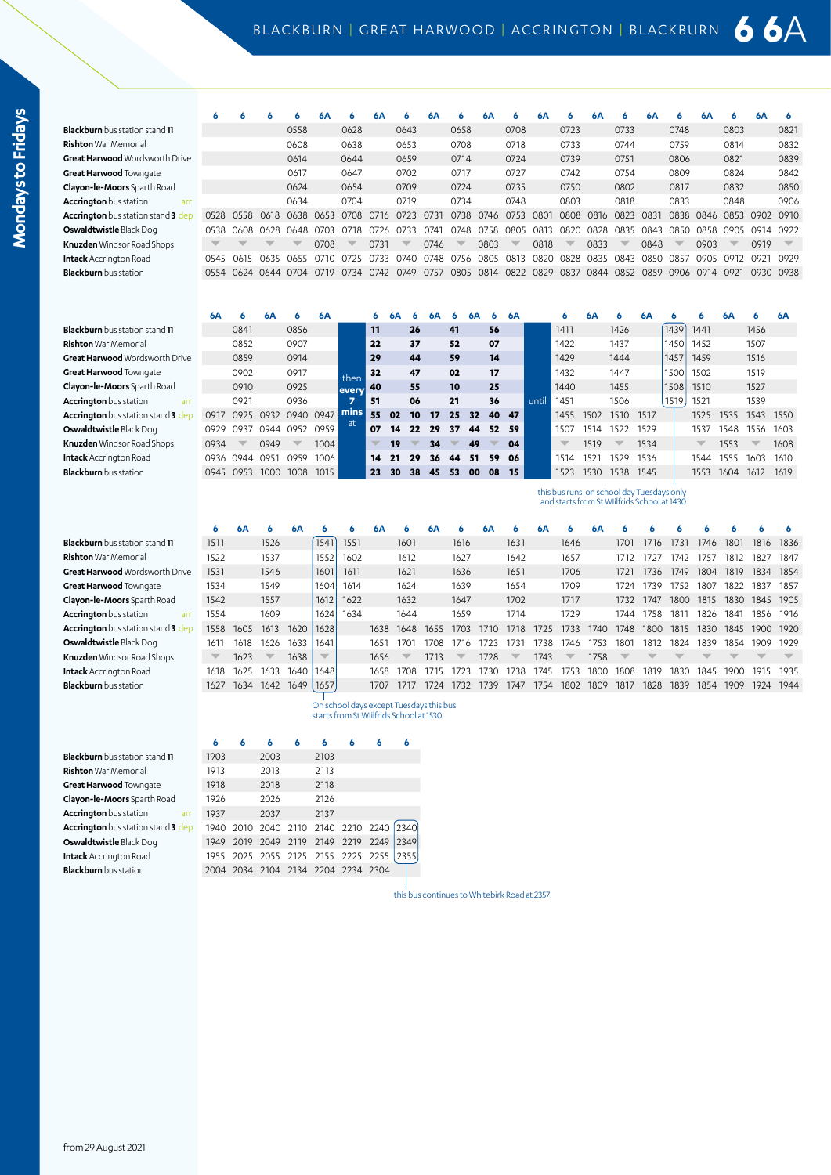**6 6 6 6 6A 6 6A 6 6A 6 6A 6 6A 6 6A 6 6A 6 6A 6 6A 6**

**6A 6 6A 6 6A 6 6A 6 6A 6 6A 6 6A 6 6A 6 6A 6 6 6A 6 6A**

until

this bus runs on school day Tuesdays

1411 1426 1439 1441 1456

**Blackburn** bus station stand **11** 0558 0628 0643 0658 0708 0723 0733 0748 0803 0821

**11 26 41 56**

| Rishton War Memorial                      |      |           |                               | 0608                |      | 0638                     |      | 0653                     |      | 0708                     |                | 0718                     |      | 0733                     |           | 0744                     |                     | 0759                     |                | 0814                     |                          | 0832                     |
|-------------------------------------------|------|-----------|-------------------------------|---------------------|------|--------------------------|------|--------------------------|------|--------------------------|----------------|--------------------------|------|--------------------------|-----------|--------------------------|---------------------|--------------------------|----------------|--------------------------|--------------------------|--------------------------|
| <b>Great Harwood</b> Wordsworth Drive     |      |           |                               | 0614                |      | 0644                     |      | 0659                     |      | 0714                     |                | 0724                     |      | 0739                     |           | 0751                     |                     | 0806                     |                | 0821                     |                          | 0839                     |
| <b>Great Harwood</b> Towngate             |      |           |                               | 0617                |      | 0647                     |      | 0702                     |      | 0717                     |                | 0727                     |      | 0742                     |           | 0754                     |                     | 0809                     |                | 0824                     |                          | 0842                     |
| <b>Clayon-le-Moors</b> Sparth Road        |      |           |                               | 0624                |      | 0654                     |      | 0709                     |      | 0724                     |                | 0735                     |      | 0750                     |           | 0802                     |                     | 0817                     |                | 0832                     |                          | 0850                     |
| <b>Accrington</b> bus station<br>arr      |      |           |                               | 0634                |      | 0704                     |      | 0719                     |      | 0734                     |                | 0748                     |      | 0803                     |           | 0818                     |                     | 0833                     |                | 0848                     |                          | 0906                     |
| <b>Accrington</b> bus station stand 3 dep |      | 0528 0558 | 0618                          | 0638 0653 0708 0716 |      |                          |      | 0723                     | 0731 |                          | 0738 0746      | 0753                     | 0801 | 0808                     | 0816 0823 |                          | 0831                |                          | 0838 0846      |                          | 0853 0902 0910           |                          |
| <b>Oswaldtwistle</b> Black Dog            |      |           | 0538 0608 0628 0648 0703 0718 |                     |      |                          | 0726 | O733                     | 0741 |                          | 0748 0758 0805 |                          | 0813 | 0820                     |           |                          | 0828 0835 0843      |                          |                |                          | 0850 0858 0905 0914 0922 |                          |
| <b>Knuzden</b> Windsor Road Shops         |      |           | $\overline{\phantom{a}}$      | ┳                   | 0708 | $\overline{\phantom{a}}$ | 0731 | $\overline{\phantom{a}}$ | 0746 | $\overline{\phantom{a}}$ | 0803           | $\overline{\phantom{a}}$ | 0818 | $\overline{\phantom{a}}$ | 0833      | $\overline{\phantom{a}}$ | 0848                | $\overline{\phantom{a}}$ | 0903           | $\overline{\phantom{a}}$ | 0919                     | $\overline{\phantom{0}}$ |
| <b>Intack</b> Accrington Road             | 0545 | 0615      | 0635 0655 0710                |                     |      | 0725 0733 0740 0748      |      |                          |      | 0756 0805 0813           |                |                          | 0820 |                          |           |                          | 0828 0835 0843 0850 | 0857                     | 0905 0912 0921 |                          |                          | <b>ሰዓንና</b>              |
| <b>Blackburn</b> bus station              |      |           | 0554 0624 0644 0704           |                     | 0719 | 0734                     | 0742 | 0749                     | 0757 |                          |                | 0805 0814 0822 0829      |      | 0837                     |           |                          | 0844 0852 0859      | 0906 0914 0921           |                |                          | 0930 0938                |                          |
|                                           |      |           |                               |                     |      |                          |      |                          |      |                          |                |                          |      |                          |           |                          |                     |                          |                |                          |                          |                          |

**Blackburn** bus station stand **11** 0841 0856 **Rishton** War Memorial 0852 0907 **22 37 52 07** 1422 1437 1450 1452 1507 **Great Harwood** WordsworthDrive 0859 0914 **29 44 59 14** 1429 1444 1457 1459 1516 **Great Harwood** Towngate 0902 0917 **32 47 02 17** 1432 1447 1500 1502 1519 **Clayon-le-Moors** Sparth Road 0910 0925 **40 55 10 25** 1440 1455 1508 1510 1527 **Accrington** bus station arr 0921 0936 **51 06 21 36** 1451 1506 1519 1521 1539 **Accrington** bus station stand **3** dep 0917 0925 0932 0940 0947 **55 02 10 17 25 32 40 47** 1455 1502 1510 1517 1525 1535 1543 1550 **Oswaldtwistle** Black Dog 0929 0937 0944 0952 0959 **07 14 22 29 37 44 52 59** 1507 1514 1522 1529 1537 1548 1556 1603 **Knuzden** Windsor Road Shops 0934 x 0949 x 1004 x 19 x 34 x 49 x 04 x 1519 x 1534 x 1553 x 1608 **Intack** Accrington Road 0936 0944 0951 0959 1006 **14 21 29 36 44 51 59 06** 1514 1521 1529 1536 1544 1555 1603 1610 **Blackburn** bus station 0945 0953 1000 1008 1015 **23 30 38 45 53 00 08 15** 1523 1530 1538 1545 1553 1604 1612 1619

**6 6A 6 6A 6 6 6A 6 6A 6 6A 6 6A 6 6A 6 6 6 6 6 6 6 Blackburn** bus station stand **11** 1511 1526 1541 1551 1601 1616 1631 1646 1701 1716 1731 1746 1801 1816 1836 **Rishton** War Memorial 1522 1537 1552 1602 1612 1627 1642 1657 1712 1727 1742 1757 1812 1827 1847 **Great Harwood** Wordsworth Drive 1531 1546 1601 1611 1621 1636 1651 1706 1721 1736 1749 1804 1819 1834 1854 **Great Harwood** Towngate 1534 1549 1604 1614 1624 1639 1654 1709 1724 1739 1752 1807 1822 1837 1857 **Clayon-le-Moors** Sparth Road 1542 1557 1612 1622 1632 1647 1702 1717 1732 1747 1800 1815 1830 1845 1905 **Accrington** bus station arr 1554 1609 1624 1634 1644 1659 1714 1729 1744 1758 1811 1826 1841 1856 1916 **Accrington** bus station stand **3** dep 1558 1605 1613 1620 1628 1638 1648 1655 1703 1710 1718 1725 1733 1740 1748 1800 1815 1830 1845 1900 1920 **Oswaldtwistle** Black Dog 1611 1618 1626 1633 1641 1651 1701 1708 1716 1723 1731 1738 1746 1753 1801 1812 1824 1839 1854 1909 1929 **Knuzden** Windsor Road Shops x 1623 x 1638 x 1656 x 1713 x 1728 x 1743 x 1758 **Intack** Accrington Road 1618 1625 1633 1640 1648 1658 1708 1715 1723 1730 1738 1745 1753 1800 1808 1819 1830 1845 1900 1915 1935 **Blackburn** bus station 1627 1634 1642 1649 1657 1707 1717 1724 1732 1739 1747 1754 1802 1809 1817 1828 1839 1854 1909 1924 1944 and starts from St WIilfrids School at 1430

> On school days except Tuesdays this bus starts from St WIilfrids School at 1530

then **every 7 mins** at

**Blackburn** bus station stand **11** 1903 2003 2103

**Rishton** War Memorial **1913** 2013 2113 **Great Harwood** Towngate **1918** 2018 2118 **Clayon-le-Moors** Sparth Road 1926 2026 2126 Accrington bus station arr 1937 2037 2137 **Accrington** bus station stand **3** dep 1940 2010 2040 2110 2140 2210 2240 2340 **Oswaldtwistle** Black Dog 1949 2019 2049 2119 2149 2219 2249 2349 **Intack** Accrington Road 1955 2025 2055 2125 2155 2225 2255 2355 **Blackburn** bus station 2004 2034 2104 2134 2204 2234 2304

**6 6 6 6 6 6 6 6**

this bus continues to Whitebirk Road at 2357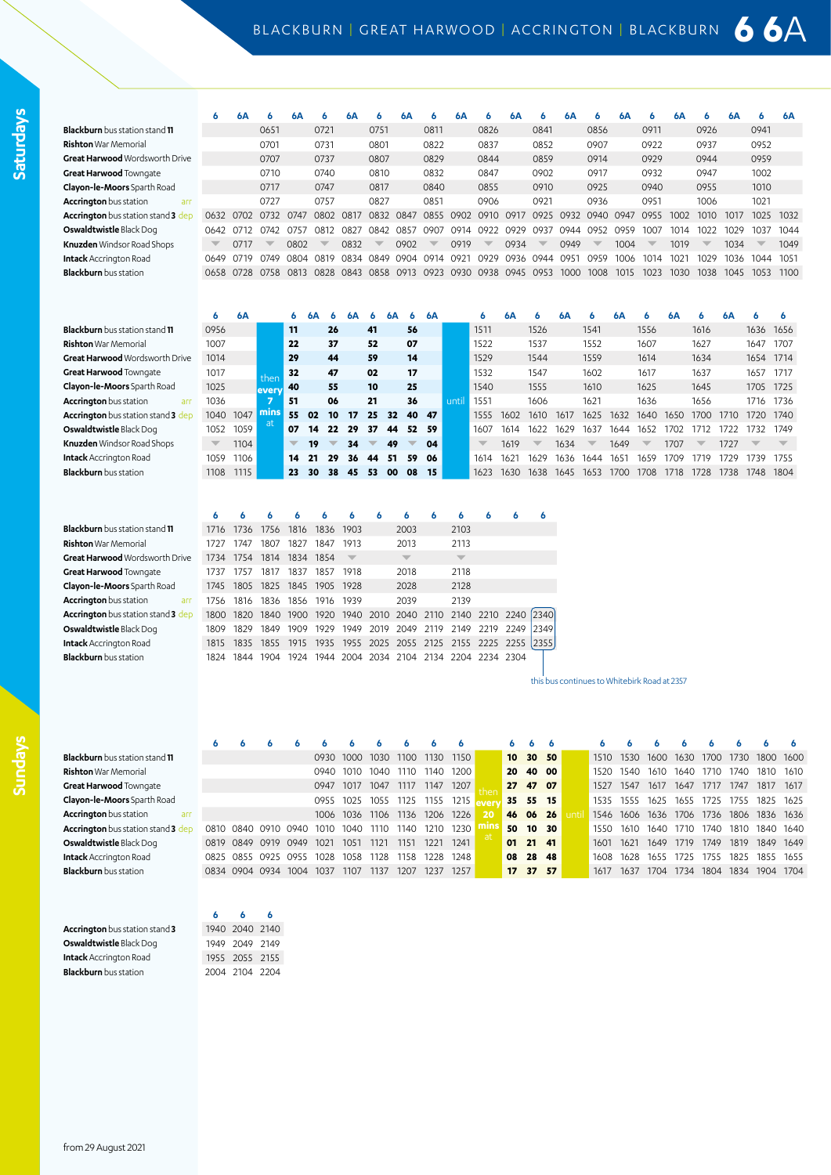**6 6A 6 6A 6 6A 6 6A 6 6A 6 6A 6 6A 6 6A 6 6A 6 6A 6 6A Blackburn** bus station stand **11** 0651 0721 0751 0811 0826 0841 0856 0911 0926 0941 **Rishton** War Memorial 0701 0731 0801 0822 0837 0852 0907 0922 0937 0952 **Great Harwood** WordsworthDrive 0707 0737 0807 0829 0844 0859 0914 0929 0944 0959 **Great Harwood** Towngate 0710 0740 0810 0832 0847 0902 0917 0932 0947 1002 **Clayon-le-Moors** Sparth Road 0717 0747 0817 0840 0855 0910 0925 0940 0955 1010 **Accrington** bus station arr 0727 0757 0827 0851 0906 0921 0936 0951 1006 1021 **Accrington** bus station stand **3** dep 0632 0702 0732 0747 0802 0817 0832 0847 0855 0902 0910 0917 0925 0932 0940 0947 0955 1002 1010 1017 1025 1032 **Oswaldtwistle** Black Dog 0642 0712 0742 0757 0812 0827 0842 0857 0907 0914 0922 0929 0937 0944 0952 0959 1007 1014 1022 1029 1037 1044 **Knuzden** Windsor Road Shops x 0717 x 0802 x 0832 x 0902 x 0919 x 0934 x 0949 x 1004 x 1019 x 1034 x 1049<br>I**ntack** Accrington Road x 0649 0719 0749 0804 0819 0834 0849 0904 0914 0921 0929 0936 0944 0951 0959 1006 1014 1021 Intack Accrington Road 0649 0719 0749 0804 0819 0834 0849 0904 0914 0921 0929 0936 0944 0951 0959 1006 1014 1021 1029 1036 1044 **Blackburn** bus station 0658 0728 0758 0813 0828 0843 0858 0913 0923 0930 0938 0945 0953 1000 1008 1015 1023 1030 1038 1045 1053 1100

|                                       | O                        | 6A   |       | 6.                       | 6А |                          | 6А |    | 6А  |     | 6A |      | 6                        | 6А   | n                        | 6А   |      | 6А   |                          | 6А   |                          | 6А   |                          |      |
|---------------------------------------|--------------------------|------|-------|--------------------------|----|--------------------------|----|----|-----|-----|----|------|--------------------------|------|--------------------------|------|------|------|--------------------------|------|--------------------------|------|--------------------------|------|
| <b>Blackburn</b> bus station stand 11 | 0956                     |      |       | 11                       |    | 26                       |    | 41 |     | 56  |    |      | 1511                     |      | 1526                     |      | 1541 |      | 1556                     |      | 1616                     |      | 1636                     | 1656 |
| <b>Rishton</b> War Memorial           | 1007                     |      |       | 22                       |    | 37                       |    | 52 |     | 07  |    |      | 1522                     |      | 1537                     |      | 1552 |      | 1607                     |      | 1627                     |      | 1647                     | 1707 |
| <b>Great Harwood</b> Wordsworth Drive | 1014                     |      |       | 29                       |    | 44                       |    | 59 |     | 14  |    |      | 1529                     |      | 1544                     |      | 1559 |      | 1614                     |      | 1634                     |      | 1654                     | 1714 |
| Great Harwood Townqate                | 1017                     |      | then  | 32                       |    | 47                       |    | 02 |     | 17  |    |      | 1532                     |      | 1547                     |      | 1602 |      | 1617                     |      | 1637                     |      | 1657                     | 1717 |
| Clayon-le-Moors Sparth Road           | 1025                     |      | every | 40                       |    | 55                       |    | 10 |     | 25  |    |      | 1540                     |      | 1555                     |      | 1610 |      | 1625                     |      | 1645                     |      | 1705                     | 1725 |
| <b>Accrington</b> bus station<br>arr  | 1036                     |      |       | -51                      |    | 06                       |    | 21 |     | 36  |    | unti | 1551                     |      | 1606                     |      | 1621 |      | 1636                     |      | 1656                     |      | 1716                     | 1736 |
| Accrington bus station stand 3 dep    | 1040                     | 1047 | mins  | 55                       | 02 | 10                       | 17 | 25 | 32  | 40  | 47 |      | 1555                     | 1602 | 1610.                    | 1617 | 1625 | 1632 | 1640.                    | 1650 | 1700                     | 1710 | 1720                     | 1740 |
| Oswaldtwistle Black Dog               | 1052                     | 1059 | at.   | 07                       | 14 | 22                       | 29 | 37 | 44  | 52  | 59 |      | 1607                     | 1614 | 1622                     | 1629 | 1631 | 1644 | 1652                     | 1702 | 1712                     | 1722 | 1732                     | 1749 |
| <b>Knuzden</b> Windsor Road Shops     | $\overline{\phantom{a}}$ | 1104 |       | $\overline{\phantom{0}}$ | 19 | $\overline{\phantom{a}}$ | 34 |    | 49  |     | 04 |      | $\overline{\phantom{a}}$ | 1619 | $\overline{\phantom{a}}$ | 1634 |      | 1649 | $\overline{\phantom{a}}$ | 1707 | $\overline{\phantom{a}}$ | 1727 | $\overline{\phantom{a}}$ |      |
| <b>Intack</b> Accrington Road         | 1059                     | 1106 |       | 14                       | 21 | 29                       | 36 | 44 | 51  | 59  | 06 |      | 1614                     | 1621 | 1629                     | 1636 | 1644 | 1651 | 1659                     | 1709 | 1719                     | 1729 | 1739                     | 1755 |
| <b>Blackburn</b> bus station          | 1108                     | 1115 |       | 23                       | 30 | 38                       | 45 | 53 | -00 | -08 | 15 |      | 1623                     | 1630 | 1638                     | 1645 | 1653 | 1700 | 1708                     | 1718 | 1728                     | 1738 | 1748                     | 1804 |

|                                           | А         | 6         |  |
|-------------------------------------------|-----------|-----------|--|
| <b>ckburn</b> bus station stand <b>11</b> |           | 1716 1736 |  |
| hton War Memorial                         | 1727      | 1747      |  |
| eat Harwood Wordsworth Drive              | 1734 1754 |           |  |
| eat Harwood Towngate                      | 1737      | 1757      |  |
| von-le-Moors Sparth Road                  | 1745 1805 |           |  |
| crington bus station<br>arr               | 1756 1816 |           |  |
| crington bus station stand 3 dep          | 1800 1820 |           |  |
| <b>waldtwistle</b> Black Dog              | 1809      | 1829      |  |
| ack Accrington Road                       | 1815 1835 |           |  |
| <b>ckburn</b> bus station                 |           | 1824 1844 |  |

|                                           | 6     |                     |      |                          |      |                                                        | n              | ь                        | 6         | n              | 6    |
|-------------------------------------------|-------|---------------------|------|--------------------------|------|--------------------------------------------------------|----------------|--------------------------|-----------|----------------|------|
| <b>Blackburn</b> bus station stand 11     | 1716  | 1736                | 1756 | 1816                     | 1836 | 1903                                                   | 2003           | 2103                     |           |                |      |
| <b>Rishton</b> War Memorial               | 1727  | 1747                | 1807 | 1827                     | 1847 | 1913                                                   | 2013           | 2113                     |           |                |      |
| <b>Great Harwood</b> Wordsworth Drive     | 1734  | 1754                | 1814 | 1834                     | 1854 |                                                        |                | $\overline{\phantom{a}}$ |           |                |      |
| <b>Great Harwood</b> Towngate             | 1737  | 1757                | 1817 | 1837                     | 1857 | 1918                                                   | 2018           | 2118                     |           |                |      |
| Clayon-le-Moors Sparth Road               | 1745  |                     |      | 1805 1825 1845 1905 1928 |      |                                                        | 2028           | 2128                     |           |                |      |
| <b>Accrington</b> bus station<br>arr      | 1756. | 1816                |      | 1836 1856 1916 1939      |      |                                                        | 2039           | 2139                     |           |                |      |
| <b>Accrington</b> bus station stand 3 dep | 1800  |                     |      |                          |      | 1820 1840 1900 1920 1940 2010 2040 2110                |                | 2140                     |           | 2210 2240 2340 |      |
| <b>Oswaldtwistle</b> Black Dog            |       | 1809 1829 1849 1909 |      |                          | 1929 | 1949                                                   | 2019 2049 2119 | 2149                     | 2219      | 2249           | 2349 |
| <b>Intack</b> Accrington Road             | 1815  |                     |      |                          |      | 1835 1855 1915 1935 1955 2025 2055 2125 2155 2225 2255 |                |                          |           |                | 2355 |
| <b>Blackburn</b> bus station              | 1824  | 1844 1904           |      |                          |      | 1924 1944 2004 2034 2104 2134 2204                     |                |                          | 2234 2304 |                |      |

this bus continues to Whitebirk Road at 2357

**Blackburn** bus station stand 11 **Great Harwood** Towngate

**Sundays**

|                                       |                |                |      |      |      |      |      |       |      |                  | ь               |       |      |           |      |      |           |      |      |      |
|---------------------------------------|----------------|----------------|------|------|------|------|------|-------|------|------------------|-----------------|-------|------|-----------|------|------|-----------|------|------|------|
| <b>Blackburn</b> bus station stand 11 |                |                |      | 0930 | 1000 | 1030 | 1100 | 1130  | 1150 | 10 <sup>10</sup> | 30 <sup>°</sup> | 50    | 1510 | 1530      | 1600 | 1630 | 1700      | 1730 | 1800 | 1600 |
| <b>Rishton</b> War Memorial           |                |                |      | 0940 | 1010 | 1040 | 1110 | 1140  | 1200 | 20               |                 | 40 00 | 1520 | 1540.     | 1610 | 1640 | 1710      | 74C  | 1810 | 1610 |
| Great Harwood Towngate                |                |                |      | 0947 | 1017 | 1047 | 1117 | 1147  | 1207 | 27               | 47              | 07    | 1527 | 1547      | 1617 | 1647 | 1717      | 1747 | 1817 | 1617 |
| <b>Clayon-le-Moors</b> Sparth Road    |                |                |      | 0955 | 1025 | 1055 | 1125 | 1155  | 1215 | 35               | 55              | 15    | 1535 | 1555      | 1625 | 1655 | 1725      | 1755 | 1825 | 1625 |
| <b>Accrington</b> bus station<br>arr  |                |                |      | 1006 | 1036 | 1106 | 1136 | 1206  | 1226 | 46               | 06 26           |       | 1546 | 1606 1636 |      |      | 1706 1736 | 1806 | 1836 | 1636 |
| Accrington bus station stand 3 dep    |                | 0810 0840 0910 | 0940 | 1010 | 1040 | 1110 | 1140 | 1210. | 1230 | 50               | 10              | 30    | 1550 | 1610      | 1640 | 1710 | 1740      | 1810 | 1840 | 1640 |
| Oswaldtwistle Black Dog               | 0819 0849      | 0919           | 0949 | 1021 | 1051 | 1121 | 1151 | 1221  | 1241 | 01               | 21 41           |       | 1601 | 1621      | 1649 | 1719 | 1749      | 1819 | 1849 | 1649 |
| <b>Intack</b> Accrington Road         |                | 0825 0855 0925 | 0955 | 1028 | 1058 | 1128 | 1158 | 1228  | 1248 | 08               | 28              | 48    | 1608 | 1628      | 1655 | 1725 | 1755      | 1825 | 1855 | 1655 |
| <b>Blackburn</b> bus station          | 0834 0904 0934 |                | 1004 | 1037 | 1107 | 1137 | 1207 | 1237  | 1257 | 17 <sup>2</sup>  | 37 <sup>2</sup> | 57    | 1617 | 1637      | 1704 | 1734 | 1804      | 1834 | 1904 | 1704 |
|                                       |                |                |      |      |      |      |      |       |      |                  |                 |       |      |           |      |      |           |      |      |      |

**6 6 6** 1940 2040 2140 **Oswaldtwistle** Black Dog 1949 2049 2149 **Intack** Accrington Road 1955 2055 2155 **Blackburn** bus station 2004 2104 2204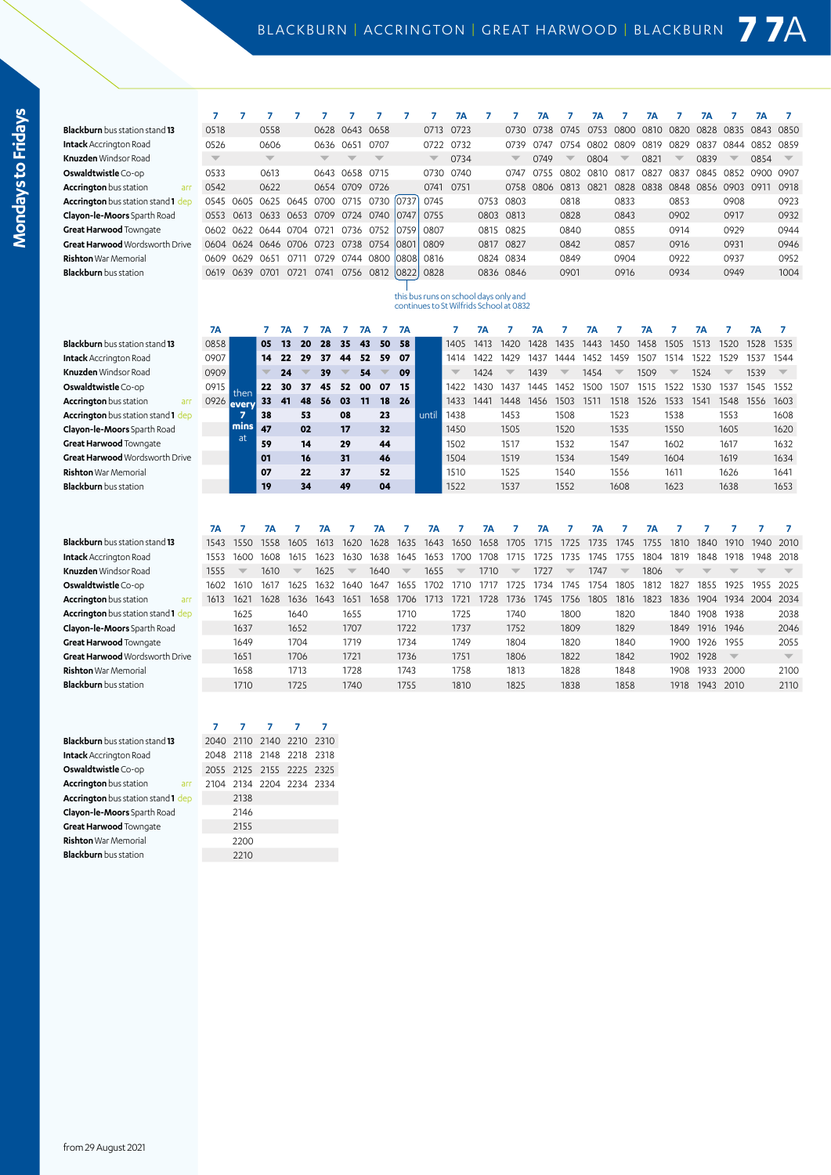| I      |
|--------|
|        |
| Ľ,     |
|        |
|        |
| ı      |
|        |
|        |
| 1      |
|        |
|        |
|        |
| ī<br>г |

|                                           | 7                       | $\overline{7}$ | 7              | 7                        | $\overline{7}$ | $\overline{7}$ | $\overline{7}$                | $\overline{7}$ | 7                       | <b>7A</b>                                                                        | 7         | 7         | <b>7A</b> | 7    | <b>7A</b> | 7                       | <b>7A</b> | 7                       | <b>7A</b> | 7                        | <b>7A</b> | 7                               |
|-------------------------------------------|-------------------------|----------------|----------------|--------------------------|----------------|----------------|-------------------------------|----------------|-------------------------|----------------------------------------------------------------------------------|-----------|-----------|-----------|------|-----------|-------------------------|-----------|-------------------------|-----------|--------------------------|-----------|---------------------------------|
| <b>Blackburn</b> bus station stand 13     | 0518                    |                | 0558           |                          | 0628           | 0643           | 0658                          |                | 0713                    | 0723                                                                             |           | 0730      | 0738      | 0745 | 0753      | 0800                    | 0810      | 0820                    | 0828      | 0835                     | 0843      | 0850                            |
| <b>Intack</b> Accrington Road             | 0526                    |                | 0606           |                          | 0636           | 0651           | 0707                          |                | 0722                    | 0732                                                                             |           | 0739      | 0747      | 0754 | 0802      | 0809                    | 0819      | 0829                    | 0837      | 0844                     | 0852      | 0859                            |
| Knuzden Windsor Road                      | $\overline{\mathbb{V}}$ |                |                |                          |                |                |                               |                | $\overline{\mathbb{V}}$ | 0734                                                                             |           |           | 0749      |      | 0804      |                         | 0821      |                         | 0839      |                          | 0854      | $\overline{\phantom{a}}$        |
| Oswaldtwistle Co-op                       | 0533                    |                | 0613           |                          |                | 0643 0658      | 0715                          |                | 0730                    | 0740                                                                             |           | 0747      | 0755      | 0802 | 0810      | 0817                    | 0827      | 0837                    | 0845      | 0852                     | 0900      | 0907                            |
| <b>Accrington</b> bus station<br>arr      | 0542                    |                | 0622           |                          |                | 0654 0709      | 0726                          |                | 0741                    | 0751                                                                             |           | 0758      | 0806      | 0813 | 0821      | 0828                    | 0838      | 0848                    | 0856      | 0903                     | 0911      | 0918                            |
| <b>Accrington</b> bus station stand 1 dep |                         | 0545 0605      | 0625           | 0645 0700                |                | 0715           | 0730                          | 0737           | 0745                    |                                                                                  | 0753      | 0803      |           | 0818 |           | 0833                    |           | 0853                    |           | 0908                     |           | 0923                            |
| Clayon-le-Moors Sparth Road               | 0553                    | 0613           |                | 0633 0653                | 0709           | 0724           | 0740                          | 0747           | 0755                    |                                                                                  | 0803      | 0813      |           | 0828 |           | 0843                    |           | 0902                    |           | 0917                     |           | 0932                            |
| Great Harwood Towngate                    |                         | 0602 0622      | 0644 0704 0721 |                          |                | 0736           | 0752                          | 0759           | 0807                    |                                                                                  | 0815      | 0825      |           | 0840 |           | 0855                    |           | 0914                    |           | 0929                     |           | 0944                            |
| Great Harwood Wordsworth Drive            |                         | 0604 0624      | 0646 0706 0723 |                          |                |                | 0738 0754                     | 0801           | 0809                    |                                                                                  | 0817      | 0827      |           | 0842 |           | 0857                    |           | 0916                    |           | 0931                     |           | 0946                            |
| Rishton War Memorial                      | 0609                    | 0629           | 0651           | 0711                     | 0729           |                | 0744 0800                     | 0808           | 0816                    |                                                                                  |           | 0824 0834 |           | 0849 |           | 0904                    |           | 0922                    |           | 0937                     |           | 0952                            |
| <b>Blackburn</b> bus station              | 0619                    | 0639           | 0701           | 0721                     | 0741           |                | 0756 0812                     | 0822           | 0828                    |                                                                                  |           | 0836 0846 |           | 0901 |           | 0916                    |           | 0934                    |           | 0949                     |           | 1004                            |
|                                           |                         |                |                |                          |                |                |                               |                |                         |                                                                                  |           |           |           |      |           |                         |           |                         |           |                          |           |                                 |
|                                           |                         |                |                |                          |                |                |                               |                |                         | this bus runs on school days only and<br>continues to St Wilfrids School at 0832 |           |           |           |      |           |                         |           |                         |           |                          |           |                                 |
|                                           |                         |                |                |                          |                |                |                               |                |                         |                                                                                  |           |           |           |      |           |                         |           |                         |           |                          |           |                                 |
|                                           | <b>7A</b>               |                | 7              | <b>7A</b><br>7           | 7Α             | 7              | 7<br><b>7A</b>                | <b>7A</b>      |                         | 7                                                                                | <b>7A</b> | 7         | 7Α        | 7    | <b>7A</b> | 7                       | <b>7A</b> | 7                       | <b>7A</b> | 7                        | <b>7A</b> | 7                               |
| <b>Blackburn</b> bus station stand 13     | 0858                    |                | 05             | 13<br>20                 | 28             | 35             | 50<br>43                      | 58             |                         | 1405                                                                             | 1413      | 1420      | 1428      | 1435 | 1443      | 1450                    | 1458      | 1505                    | 1513      | 1520                     | 1528      | 1535                            |
| I <b>ntack</b> Accrington Road            | 0907                    |                | 14             | 22<br>29                 | 37             | 44             | 59<br>52                      | 07             |                         | 1414                                                                             | 1422      | 1429      | 1437      | 1444 | 1452      | 1459                    | 1507      | 1514                    | 1522      | 1529                     | 1537      | 1544                            |
| Knuzden Windsor Road                      | 0909                    |                | ₩              | 24                       | 39             |                | 54<br>$\overline{\mathbf{v}}$ | 09             |                         |                                                                                  | 1424      | w         | 1439      |      | 1454      |                         | 1509      | $\overline{\mathbb{V}}$ | 1524      | $\overline{\mathbb{V}}$  | 1539      | $\overline{\phantom{a}}$        |
| Oswaldtwistle Co-op                       | 0915                    | then           | 22             | 30<br>37                 | 45             | 52             | 00<br>07                      | 15             |                         | 1422                                                                             | 1430      | 1437      | 1445      | 1452 | 1500      | 1507                    | 1515      | 1522                    | 1530      | 1537                     | 1545      | 1552                            |
| <b>Accrington</b> bus station<br>arr      | 0926                    | every          | 33             | 41<br>48                 | 56             | 03             | 11<br>18                      | 26             |                         | 1433                                                                             | 1441      | 1448      | 1456      | 1503 | 1511      | 1518                    | 1526      | 1533                    | 1541      | 1548                     | 1556      | 1603                            |
| Accrington bus station stand 1 dep        |                         | $\overline{z}$ | 38             | 53                       |                | 08             | 23                            |                | until                   | 1438                                                                             |           | 1453      |           | 1508 |           | 1523                    |           | 1538                    |           | 1553                     |           | 1608                            |
| Clayon-le-Moors Sparth Road               |                         | mins           | 47             | 02                       |                | 17             | 32                            |                |                         | 1450                                                                             |           | 1505      |           | 1520 |           | 1535                    |           | 1550                    |           | 1605                     |           | 1620                            |
| Great Harwood Towngate                    |                         | at             | 59             | 14                       |                | 29             | 44                            |                |                         | 1502                                                                             |           | 1517      |           | 1532 |           | 1547                    |           | 1602                    |           | 1617                     |           | 1632                            |
| <b>Great Harwood</b> Wordsworth Drive     |                         |                | 01             | 16                       |                | 31             | 46                            |                |                         | 1504                                                                             |           | 1519      |           | 1534 |           | 1549                    |           | 1604                    |           | 1619                     |           | 1634                            |
| <b>Rishton</b> War Memorial               |                         |                | 07             | 22                       |                | 37             | 52                            |                |                         | 1510                                                                             |           | 1525      |           | 1540 |           | 1556                    |           | 1611                    |           | 1626                     |           | 1641                            |
| <b>Blackburn</b> bus station              |                         |                | 19             | 34                       |                | 49             | 04                            |                |                         | 1522                                                                             |           | 1537      |           | 1552 |           | 1608                    |           | 1623                    |           | 1638                     |           | 1653                            |
|                                           |                         |                |                |                          |                |                |                               |                |                         |                                                                                  |           |           |           |      |           |                         |           |                         |           |                          |           |                                 |
|                                           |                         |                |                |                          |                |                |                               |                |                         |                                                                                  |           |           |           |      |           |                         |           |                         |           |                          |           |                                 |
|                                           | 7A                      | 7              | <b>7A</b>      | 7                        | <b>7A</b>      | 7              | <b>7A</b>                     | 7              | <b>7A</b>               | 7                                                                                | <b>7A</b> | 7         | <b>7A</b> | 7    | <b>7A</b> | 7                       | <b>7A</b> | 7                       | 7         | 7                        | 7         | 7                               |
| Blackburn bus station stand 13            | 1543                    | 1550           | 1558           | 1605                     | 1613           | 1620           | 1628                          | 1635           | 1643                    | 1650                                                                             | 1658      | 1705      | 1715      | 1725 | 1735      | 1745                    | 1755      | 1810                    | 1840      | 1910                     | 1940      | 2010                            |
| <b>Intack</b> Accrington Road             | 1553                    | 1600           | 1608           | 1615                     | 1623           | 1630           | 1638                          | 1645           | 1653                    | 1700                                                                             | 1708      | 1715      | 1725      | 1735 | 1745      | 1755                    | 1804      | 1819                    | 1848      | 1918                     | 1948      | 2018                            |
| Knuzden Windsor Road                      | 1555                    |                | 1610           | $\overline{\phantom{a}}$ | 1625           |                | 1640                          |                | 1655                    |                                                                                  | 1710      |           | 1727      |      | 1747      | $\overline{\mathbb{V}}$ | 1806      |                         |           |                          |           |                                 |
| Oswaldtwistle Co-op                       | 1602                    | 1610           | 1617           | 1625                     | 1632           | 1640           | 1647                          | 1655           | 1702                    | 1710                                                                             | 1717      | 1725      | 1734      | 1745 | 1754      | 1805                    | 1812      | 1827                    | 1855      | 1925                     | 1955      | 2025                            |
| <b>Accrington</b> bus station<br>arr      | 1613                    | 1621           | 1628           | 1636                     | 1643           | 1651           | 1658                          | 1706           | 1713                    | 1721                                                                             | 1728      | 1736      | 1745      | 1756 | 1805      | 1816                    | 1823      | 1836                    | 1904      | 1934                     | 2004      | 2034                            |
| Accrington bus station stand 1 dep        |                         | 1625           |                | 1640                     |                | 1655           |                               | 1710           |                         | 1725                                                                             |           | 1740      |           | 1800 |           | 1820                    |           | 1840                    | 1908      | 1938                     |           | 2038                            |
| Clayon-le-Moors Sparth Road               |                         | 1637           |                | 1652                     |                | 1707           |                               | 1722           |                         | 1737                                                                             |           | 1752      |           | 1809 |           | 1829                    |           | 1849                    | 1916      | 1946                     |           | 2046                            |
| Great Harwood Towngate                    |                         | 1649           |                | 1704                     |                | 1719           |                               | 1734           |                         | 1749                                                                             |           | 1804      |           | 1820 |           | 1840                    |           | 1900                    | 1926 1955 |                          |           | 2055<br>$\overline{\mathbf{v}}$ |
| Great Harwood Wordsworth Drive            |                         | 1651           |                | 1706                     |                | 1721           |                               | 1736           |                         | 1751                                                                             |           | 1806      |           | 1822 |           | 1842                    |           | 1902                    | 1928      | $\overline{\phantom{a}}$ |           |                                 |
| Rishton War Memorial                      |                         | 1658           |                | 1713                     |                | 1728           |                               | 1743           |                         | 1758                                                                             |           | 1813      |           | 1828 |           | 1848                    |           | 1908                    | 1933      | 2000                     |           | 2100                            |
| <b>Blackburn</b> bus station              |                         | 1710           |                | 1725                     |                | 1740           |                               | 1755           |                         | 1810                                                                             |           | 1825      |           | 1838 |           | 1858                    |           | 1918                    |           | 1943 2010                |           | 2110                            |
|                                           |                         |                |                |                          |                |                |                               |                |                         |                                                                                  |           |           |           |      |           |                         |           |                         |           |                          |           |                                 |
|                                           | 7                       | 7              | 7              | 7                        | 7              |                |                               |                |                         |                                                                                  |           |           |           |      |           |                         |           |                         |           |                          |           |                                 |
| <b>Blackburn</b> bus station stand 13     | 2040                    | 2110           | 2140           | 2210                     | 2310           |                |                               |                |                         |                                                                                  |           |           |           |      |           |                         |           |                         |           |                          |           |                                 |
| <b>Intack</b> Accrington Road             |                         |                | 2148           | 2218                     | 2318           |                |                               |                |                         |                                                                                  |           |           |           |      |           |                         |           |                         |           |                          |           |                                 |
| <b>Oswaldtwistle</b> Co-op                | 2048<br>2055            | 2118<br>2125   | 2155           | 2225                     | 2325           |                |                               |                |                         |                                                                                  |           |           |           |      |           |                         |           |                         |           |                          |           |                                 |
|                                           | 2104                    | 2134           | 2204 2234 2334 |                          |                |                |                               |                |                         |                                                                                  |           |           |           |      |           |                         |           |                         |           |                          |           |                                 |
| <b>Accrington</b> bus station<br>arr      |                         |                |                |                          |                |                |                               |                |                         |                                                                                  |           |           |           |      |           |                         |           |                         |           |                          |           |                                 |

**Accrington** bus station stand **1** dep 2138 **Clayon-le-Moors** Sparth Road 2146 **Great Harwood** Towngate 2155 **Rishton** War Memorial 2200 **Blackburn** bus station 2210